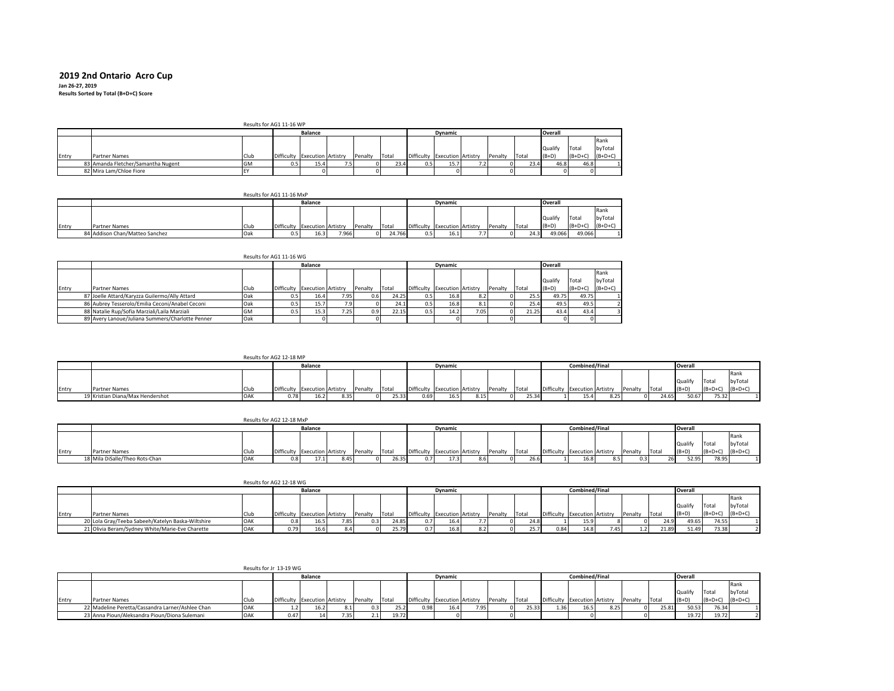### **2019 2nd Ontario Acro Cup**

**Jan 26-27, 2019 Results Sorted by Total (B+D+C) Score**

|       |                                    | Results for AG1 11-16 WP |                               |     |         |       |                               |            |         |       |                |           |           |
|-------|------------------------------------|--------------------------|-------------------------------|-----|---------|-------|-------------------------------|------------|---------|-------|----------------|-----------|-----------|
|       |                                    |                          | Balance                       |     |         |       | <b>Dynamic</b>                |            |         |       | <b>Overall</b> |           |           |
|       |                                    |                          |                               |     |         |       |                               |            |         |       |                |           | Rank      |
|       |                                    |                          |                               |     |         |       |                               |            |         |       | Qualify        | Total     | byTotal   |
| Entry | <b>Partner Names</b>               | Club                     | Difficulty Execution Artistry |     | Penalty | Total | Difficulty Execution Artistry |            | Penalty | Total | $(B+D)$        | $(B+D+C)$ | $(B+D+C)$ |
|       | 83 Amanda Fletcher/Samantha Nugent | <b>GM</b>                | 15.4                          | 7.5 |         |       | 15.7                          | $\cdot$ .2 |         |       | 46.8           | 46.8      |           |
|       | 82 Mira Lam/Chloe Fiore            |                          |                               |     |         |       |                               |            |         |       |                |           |           |

|       |                                | Results for AG1 11-16 MxP |     |                               |       |         |        |     |                               |         |       |                |           |           |
|-------|--------------------------------|---------------------------|-----|-------------------------------|-------|---------|--------|-----|-------------------------------|---------|-------|----------------|-----------|-----------|
|       |                                |                           |     | <b>Balance</b>                |       |         |        |     | <b>Dynamic</b>                |         |       | <b>Overall</b> |           |           |
|       |                                |                           |     |                               |       |         |        |     |                               |         |       |                |           | Rank      |
|       |                                |                           |     |                               |       |         |        |     |                               |         |       | Qualify        | Tota      | byTotal   |
| Entry | <b>Partner Names</b>           | Club                      |     | Difficulty Execution Artistry |       | Penalty | Total  |     | Difficulty Execution Artistry | Penalty | Total | $(B+D)$        | $(B+D+C)$ | $(B+D+C)$ |
|       | 84 Addison Chan/Matteo Sanchez | Oak                       | 0.5 | 16.3                          | 7.966 | ΩI      | 24.766 | 0.5 | 16.1                          |         | 24.3  | 49.066         | 49.066    |           |

|       |                                                  | Results for AG1 11-16 WG |                               |                   |         |       |                               |                |      |         |       |         |                     |         |
|-------|--------------------------------------------------|--------------------------|-------------------------------|-------------------|---------|-------|-------------------------------|----------------|------|---------|-------|---------|---------------------|---------|
|       |                                                  |                          | <b>Balance</b>                |                   |         |       |                               | <b>Dynamic</b> |      |         |       | Overall |                     |         |
|       |                                                  |                          |                               |                   |         |       |                               |                |      |         |       |         |                     | Rank    |
|       |                                                  |                          |                               |                   |         |       |                               |                |      |         |       | Qualify | Total               | byTotal |
| Entry | Partner Names                                    | Club                     | Difficulty Execution Artistry |                   | Penalty | Total | Difficulty Execution Artistry |                |      | Penalty | Total | $(B+D)$ | $(B+D+C)$ $(B+D+C)$ |         |
|       | 87 Joelle Attard/Karyzza Guilermo/Ally Attard    | <b>Oak</b>               | 16.4                          | 7.95              | 0.6     | 24.25 | 0.5                           | 16.8           | 8.Z  |         |       | 49.75   | 49.75               |         |
|       | 86 Aubrey Tesserolo/Emilia Ceconi/Anabel Ceconi  | Oak                      | 15.7                          | 7.9               |         | 24.1  | 0.5                           | 16.8           | 8.1  |         |       | 49.5    | 49.5                |         |
|       | 88 Natalie Rup/Sofia Marziali/Laila Marziali     | <b>GM</b>                | 15.3                          | 7.25 <sub>1</sub> | 0.9     | 22.15 | 0.5                           | 14.2           | 7.05 |         | 21.25 | 43.4    | 43.4                |         |
|       | 89 Avery Lanoue/Juliana Summers/Charlotte Penner | <b>Oak</b>               |                               |                   |         |       |                               |                |      |         |       |         |                     |         |

|       |                                  | Results for AG2 12-18 MP |      |                               |      |         |       |                               |         |      |         |       |                               |      |         |       |                 |                   |           |
|-------|----------------------------------|--------------------------|------|-------------------------------|------|---------|-------|-------------------------------|---------|------|---------|-------|-------------------------------|------|---------|-------|-----------------|-------------------|-----------|
|       |                                  |                          |      | <b>Balance</b>                |      |         |       |                               | Dynamic |      |         |       | Combined/Final                |      |         |       | <b>TOverall</b> |                   |           |
|       |                                  |                          |      |                               |      |         |       |                               |         |      |         |       |                               |      |         |       |                 |                   | Rank      |
|       |                                  |                          |      |                               |      |         |       |                               |         |      |         |       |                               |      |         |       | Qualif          | Tota <sub>i</sub> | byTotai   |
| Entry | Partner Names                    | <b>Club</b>              |      | Difficulty Execution Artistry |      | Penalty | Total | Difficulty Execution Artistry |         |      | Penalty | Total | Difficulty Execution Artistry |      | Penalty | Total | $(B+D)$         | $(B+D+C)$         | $(B+D+C)$ |
|       | 19 Kristian Diana/Max Hendershot | OAK                      | 0.78 | 16.2                          | 8.35 |         | 25.33 | 0.69                          | 16.5    | 8.15 |         | 25.34 | 15.4                          | 8.25 |         | 24.65 | 50.67           | 75.32             |           |

|       |                                | Results for AG2 12-18 MxP |     |                               |      |         |       |                               |                |         |       |            |                      |         |       |                |           |           |
|-------|--------------------------------|---------------------------|-----|-------------------------------|------|---------|-------|-------------------------------|----------------|---------|-------|------------|----------------------|---------|-------|----------------|-----------|-----------|
|       |                                |                           |     | <b>Balance</b>                |      |         |       |                               | <b>Dynamic</b> |         |       |            | Combined/Final       |         |       | <b>Overall</b> |           |           |
|       |                                |                           |     |                               |      |         |       |                               |                |         |       |            |                      |         |       |                |           | Rank      |
|       |                                |                           |     |                               |      |         |       |                               |                |         |       |            |                      |         |       | Qualify        | Tota      | byTotal   |
| Entry | <b>Partner Names</b>           | . Club                    |     | Difficulty Execution Artistry |      | Penalty | Total | Difficulty Execution Artistry |                | Penalty | Total | Difficulty | · Execution Artistry | Penalty | Total | $(B+D)$        | $(B+D+C)$ | $(B+D+C)$ |
|       | 18 Mila DiSalle/Theo Rots-Chan | OAK                       | 0.8 | 17.1                          | 8.45 |         | 26.35 | 0.71                          | 17.3           |         |       |            | 16.8                 | 0.3     | 26    | 52.95          | 78.95     |           |

|       |                                                   | Results for AG2 12-18 WG |      |                               |      |                  |       |                               |                |         |       |      |                               |         |       |         |           |           |
|-------|---------------------------------------------------|--------------------------|------|-------------------------------|------|------------------|-------|-------------------------------|----------------|---------|-------|------|-------------------------------|---------|-------|---------|-----------|-----------|
|       |                                                   |                          |      | <b>Balance</b>                |      |                  |       |                               | <b>Dynamic</b> |         |       |      | <b>Combined/Final</b>         |         |       | Overall |           |           |
|       |                                                   |                          |      |                               |      |                  |       |                               |                |         |       |      |                               |         |       |         |           | Rank      |
|       |                                                   |                          |      |                               |      |                  |       |                               |                |         |       |      |                               |         |       | Qualif  | Tota.     | byTotal   |
| Entry | Partner Names                                     |                          |      | Difficulty Execution Artistry |      | Penalty          | Total | Difficulty Execution Artistry |                | Penalty | Total |      | Difficulty Execution Artistry | Penalty | Total | $(B+D)$ | $(B+D+C)$ | $(B+D+C)$ |
|       | 20 Lola Gray/Teeba Sabeeh/Katelyn Baska-Wiltshire | OAK                      | 0.8  | 16.5                          | 7.85 | 0.3 <sub>l</sub> | 24.85 | 0.7                           | 16.4           |         | 24.8  |      | 15.9                          |         | 24.9  | 49.65   | 74.55     |           |
|       | 21 Olivia Beram/Sydney White/Marie-Eve Charette   | OAK                      | 0.79 |                               |      |                  | 25.79 | 0.7                           | 16.8           |         | 25.7  | 0.84 | 14.8                          |         | 21.89 | 51.49   | 73.38     |           |

|       |                                                  | Results for Jr 13-19 WG |      |                               |        |           |       |      |                               |      |         |       |      |                               |      |         |       |         |           |           |
|-------|--------------------------------------------------|-------------------------|------|-------------------------------|--------|-----------|-------|------|-------------------------------|------|---------|-------|------|-------------------------------|------|---------|-------|---------|-----------|-----------|
|       |                                                  |                         |      | Balance                       |        |           |       |      | <b>Dynamic</b>                |      |         |       |      | Combined/Final                |      |         |       | Overall |           |           |
|       |                                                  |                         |      |                               |        |           |       |      |                               |      |         |       |      |                               |      |         |       |         |           | - Rank    |
|       |                                                  |                         |      |                               |        |           |       |      |                               |      |         |       |      |                               |      |         |       | Qualit  | Tota      | byTota    |
| Entry | <b>Partner Names</b>                             | Club                    |      | Difficulty Execution Artistry |        | Penalty   | Total |      | Difficulty Execution Artistry |      | Penalty | Total |      | Difficulty Execution Artistry |      | Penalty | Total | $(B+D)$ | $(B+D+C)$ | $(B+D+O)$ |
|       | 22 Madeline Peretta/Cassandra Larner/Ashlee Chan | OAK                     |      | 16.2                          | 8.1    | U.3       | 25.2  | 0.98 | 16.4                          | 7.95 |         | 25.33 | 1.36 | 16.5                          | 8.25 |         | 25.81 | 50.53   | 76.34     |           |
|       | 23 Anna Pioun/Aleksandra Pioun/Diona Sulemani    | OAk                     | 0.47 |                               | . . 35 | $\sim$ 1. | 19.72 |      |                               |      |         |       |      |                               |      |         |       | 19.72   | 19.72     |           |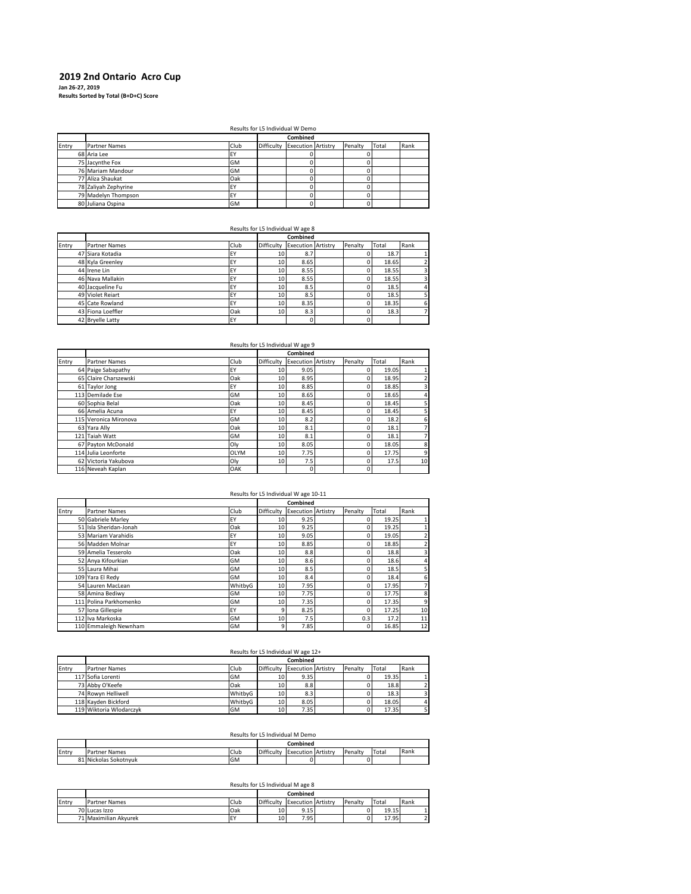## **2019 2nd Ontario Acro Cup**

**Jan 26-27, 2019 Results Sorted by Total (B+D+C) Score**

|       |                      |           | Results for L5 Individual W Demo |                           |         |       |      |
|-------|----------------------|-----------|----------------------------------|---------------------------|---------|-------|------|
|       |                      |           |                                  | Combined                  |         |       |      |
| Entry | <b>Partner Names</b> | Club      | Difficulty                       | <b>Execution Artistry</b> | Penalty | Total | Rank |
|       | 68 Aria Lee          | <b>EY</b> |                                  |                           |         |       |      |
|       | 75 Jacynthe Fox      | <b>GM</b> |                                  |                           |         |       |      |
|       | 76 Mariam Mandour    | <b>GM</b> |                                  |                           |         |       |      |
|       | 77 Aliza Shaukat     | Oak       |                                  |                           |         |       |      |
|       | 78 Zaliyah Zephyrine | EY        |                                  |                           |         |       |      |
|       | 79 Madelyn Thompson  | <b>FY</b> |                                  |                           |         |       |      |
|       | 80 Juliana Ospina    | GM        |                                  |                           |         |       |      |

### Results for L5 Individual W age 8

|       |                      |           |            | Combined                  |         |       |      |
|-------|----------------------|-----------|------------|---------------------------|---------|-------|------|
| Entry | <b>Partner Names</b> | Club      | Difficulty | <b>Execution Artistry</b> | Penalty | Total | Rank |
|       | 47 Siara Kotadia     | EY        | 10         | 8.7                       |         | 18.7  |      |
|       | 48 Kyla Greenley     | EY        | 10         | 8.65                      |         | 18.65 |      |
|       | 44 Irene Lin         | EY        | 10         | 8.55                      |         | 18.55 |      |
|       | 46 Nava Mallakin     | EY        | 10         | 8.55                      |         | 18.55 |      |
|       | 40 Jacqueline Fu     | EY        | 10         | 8.5                       |         | 18.5  |      |
|       | 49 Violet Reiart     | <b>FY</b> | 10         | 8.5                       |         | 18.5  |      |
|       | 45 Cate Rowland      | <b>FY</b> | 10         | 8.35                      |         | 18.35 |      |
|       | 43 Fiona Loeffler    | Oak       | 10         | 8.3                       |         | 18.3  |      |
|       | 42 Bryelle Latty     | EY        |            |                           |         |       |      |
|       |                      |           |            |                           |         |       |      |

|       |                       |           | Results for L5 Individual W age 9 |                           |         |       |                |
|-------|-----------------------|-----------|-----------------------------------|---------------------------|---------|-------|----------------|
|       |                       |           |                                   | Combined                  |         |       |                |
| Entry | <b>Partner Names</b>  | Club      | Difficulty                        | <b>Execution Artistry</b> | Penalty | Total | Rank           |
|       | 64 Paige Sabapathy    | EY        | 10                                | 9.05                      |         | 19.05 |                |
|       | 65 Claire Charszewski | Oak       | 10                                | 8.95                      | 0       | 18.95 | $\overline{2}$ |
|       | 61 Taylor Jong        | EY        | 10                                | 8.85                      | 0       | 18.85 | 3              |
|       | 113 Demilade Ese      | <b>GM</b> | 10                                | 8.65                      | 0       | 18.65 | 4              |
|       | 60 Sophia Belal       | Oak       | 10                                | 8.45                      | 0       | 18.45 | 5              |
|       | 66 Amelia Acuna       | EY        | 10                                | 8.45                      | 0       | 18.45 | 5              |
|       | 115 Veronica Mironova | <b>GM</b> | 10                                | 8.2                       |         | 18.2  | 6              |
|       | 63 Yara Ally          | Oak       | 10                                | 8.1                       | n       | 18.1  | $\overline{7}$ |
|       | 121 Taiah Watt        | <b>GM</b> | 10                                | 8.1                       | 0       | 18.1  | $\overline{7}$ |
|       | 67 Payton McDonald    | Oly       | 10                                | 8.05                      | 0       | 18.05 | 8              |
|       | 114 Julia Leonforte   | OLYM      | 10                                | 7.75                      | 0       | 17.75 | 9              |
|       | 62 Victoria Yakubova  | Oly       | 10                                | 7.5                       | O       | 17.5  | 10             |
|       | 116 Neveah Kaplan     | OAK       |                                   |                           | 0       |       |                |

|       |                        |           | Results for L5 Individual W age 10-11 |                           |          |       |                |
|-------|------------------------|-----------|---------------------------------------|---------------------------|----------|-------|----------------|
|       |                        |           |                                       | Combined                  |          |       |                |
| Entry | <b>Partner Names</b>   | Club      | <b>Difficulty</b>                     | <b>Execution Artistry</b> | Penalty  | Total | Rank           |
|       | 50 Gabriele Marley     | EY        | 10                                    | 9.25                      |          | 19.25 |                |
|       | 51 Isla Sheridan-Jonah | Oak       | 10                                    | 9.25                      | $\Omega$ | 19.25 |                |
|       | 53 Mariam Varahidis    | EY        | 10                                    | 9.05                      | $\Omega$ | 19.05 | $\overline{2}$ |
|       | 56 Madden Molnar       | EY        | 10                                    | 8.85                      | $\Omega$ | 18.85 |                |
|       | 59 Amelia Tesserolo    | Oak       | 10                                    | 8.8                       | $\Omega$ | 18.8  | 3              |
|       | 52 Anya Kifourkian     | <b>GM</b> | 10                                    | 8.6                       |          | 18.6  | 4              |
|       | 55 Laura Mihai         | <b>GM</b> | 10                                    | 8.5                       | $\Omega$ | 18.5  | 5              |
|       | 109 Yara El Redy       | GM        | 10                                    | 8.4                       | $\Omega$ | 18.4  | 6              |
|       | 54 Lauren MacLean      | WhitbyG   | 10                                    | 7.95                      | $\Omega$ | 17.95 | 7              |
|       | 58 Amina Bediwy        | <b>GM</b> | 10                                    | 7.75                      | $\Omega$ | 17.75 | 8              |
|       | 111 Polina Parkhomenko | <b>GM</b> | 10                                    | 7.35                      | $\Omega$ | 17.35 | 9              |
|       | 57 Iona Gillespie      | EY        | ٩                                     | 8.25                      | $\Omega$ | 17.25 | 10             |
|       | 112 Iva Markoska       | <b>GM</b> | 10                                    | 7.5                       | 0.3      | 17.2  | 11             |
|       | 110 Emmaleigh Newnham  | <b>GM</b> | ٩                                     | 7.85                      | O        | 16.85 | 12             |

|       |                         |         | Results for L5 Individual W age 12+ |                           |         |       |      |
|-------|-------------------------|---------|-------------------------------------|---------------------------|---------|-------|------|
|       |                         |         |                                     | Combined                  |         |       |      |
| Entry | <b>Partner Names</b>    | Club    | Difficulty                          | <b>Execution Artistry</b> | Penalty | Total | Rank |
|       | 117 Sofia Lorenti       | GM      | 10                                  | 9.35                      |         | 19.35 |      |
|       | 73 Abby O'Keefe         | Oak     | 10                                  | 8.8                       |         | 18.8  |      |
|       | 74 Rowyn Helliwell      | WhitbyG | 10                                  | 8.3                       |         | 18.3  |      |
|       | 118 Kavden Bickford     | WhitbvG | 10                                  | 8.05                      |         | 18.05 | 4    |
|       | 119 Wiktoria Włodarczyk | GM      | 10                                  | 7.35                      |         | 17.35 |      |

|       | Results for L5 Individual M Demo |           |                               |  |  |         |       |      |  |  |  |
|-------|----------------------------------|-----------|-------------------------------|--|--|---------|-------|------|--|--|--|
|       |                                  |           | Combined                      |  |  |         |       |      |  |  |  |
| Entry | <b>Partner Names</b>             | Club      | Difficulty Execution Artistry |  |  | Penalty | Total | Rank |  |  |  |
|       | 81 Nickolas Sokotnvuk            | <b>GM</b> |                               |  |  |         |       |      |  |  |  |

| Results for L5 Individual M age 8 |                       |      |                               |          |  |         |       |      |  |  |
|-----------------------------------|-----------------------|------|-------------------------------|----------|--|---------|-------|------|--|--|
|                                   |                       |      |                               | Combined |  |         |       |      |  |  |
| Entry                             | <b>Partner Names</b>  | Club | Difficulty Execution Artistry |          |  | Penalty | Total | Rank |  |  |
|                                   | 70 Lucas Izzo         | Oak  | 10                            | 9.15     |  |         | 19.15 |      |  |  |
|                                   | 71 Maximilian Akvurek | EY   | 10                            | 7.95     |  |         | 17.95 |      |  |  |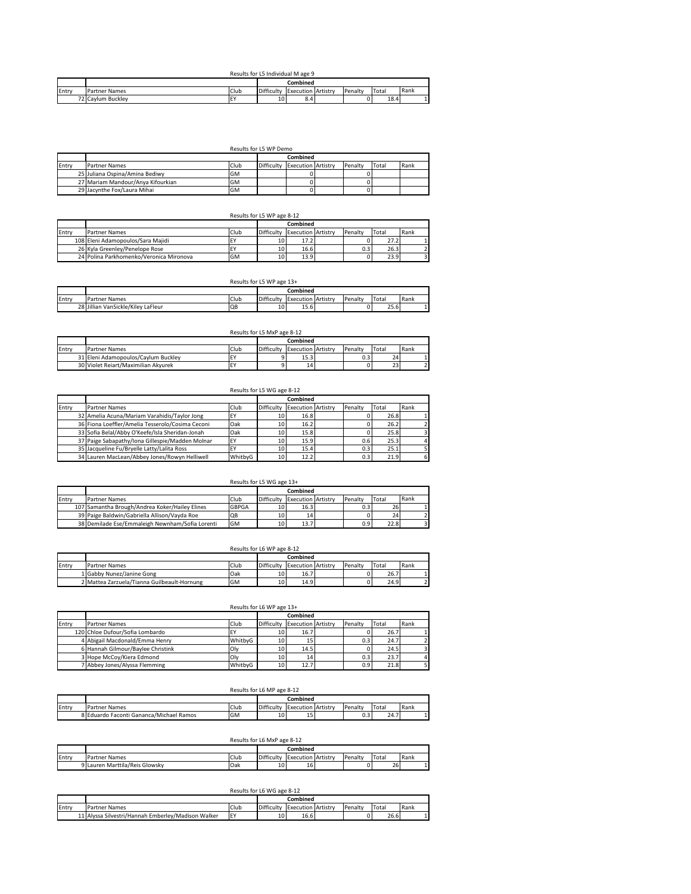|       | Results for L5 Individual M age 9 |      |                   |                           |  |         |       |      |  |  |
|-------|-----------------------------------|------|-------------------|---------------------------|--|---------|-------|------|--|--|
|       |                                   |      |                   | Combined                  |  |         |       |      |  |  |
| Entry | <b>Partner Names</b>              | Club | <b>Difficulty</b> | <b>Execution Artistry</b> |  | Penalty | Total | Rank |  |  |
|       | 72 Cavlum Buckley                 | IE.  | 10 <sup>1</sup>   | 8.4                       |  |         | 18.4  |      |  |  |

### Results for L5 WP Demo

|       |                                                | Combined |                               |  |         |       |      |  |
|-------|------------------------------------------------|----------|-------------------------------|--|---------|-------|------|--|
| Entry | Club<br><b>Partner Names</b>                   |          | Difficulty Execution Artistry |  | Penalty | Total | Rank |  |
|       | 25 Juliana Ospina/Amina Bediwy<br><b>GM</b>    |          |                               |  |         |       |      |  |
|       | 27 Mariam Mandour/Anya Kifourkian<br><b>GM</b> |          |                               |  |         |       |      |  |
|       | 29 Jacynthe Fox/Laura Mihai<br><b>GM</b>       |          |                               |  |         |       |      |  |

# Results for L5 WP age 8-12 **Combined** Entry Partner Names Club Difficulty Execution Artistry Penalty Total Rank 108 Eleni Adamopoulos/Sara Majidi EY 10 17.2 0 27.2 1 26 Kyla Greenley/Penelope Rose EY 10 16.6 0.3 26.3 2 24 Polina Parkhomenko/Veronica Mironova GM 10 13.9 0 23.9 3

|       | Results for L5 WP age 13+          |      |                               |      |  |         |       |      |  |  |  |
|-------|------------------------------------|------|-------------------------------|------|--|---------|-------|------|--|--|--|
|       |                                    |      |                               |      |  |         |       |      |  |  |  |
| Entry | <b>Partner Names</b>               | Club | Difficulty Execution Artistry |      |  | Penalty | Total | Rank |  |  |  |
|       | 28 Jillian VanSickle/Kiley LaFleur | QB   | 10                            | 15.6 |  |         | 25.6  |      |  |  |  |

|       | Results for L5 MxP age 8-12 |                                     |      |                               |          |  |         |       |      |  |
|-------|-----------------------------|-------------------------------------|------|-------------------------------|----------|--|---------|-------|------|--|
|       |                             |                                     |      |                               | Combined |  |         |       |      |  |
| Entry |                             | Partner Names                       | Club | Difficulty Execution Artistry |          |  | Penalty | Total | Rank |  |
|       |                             | 31 Eleni Adamopoulos/Cavlum Buckley |      |                               | 15.3     |  | 0.3     | 24    |      |  |
|       |                             | 30 Violet Rejart/Maximilian Akvurek |      |                               | 14       |  |         | 23    |      |  |

|       |                                                  |           | Results for L5 WG age 8-12 |                           |         |       |      |
|-------|--------------------------------------------------|-----------|----------------------------|---------------------------|---------|-------|------|
|       |                                                  |           |                            | Combined                  |         |       |      |
| Entry | <b>Partner Names</b>                             | Club      | Difficulty                 | <b>Execution Artistry</b> | Penalty | Total | Rank |
|       | 32 Amelia Acuna/Mariam Varahidis/Taylor Jong     | EY        | 10                         | 16.8                      |         | 26.8  |      |
|       | 36 Fiona Loeffler/Amelia Tesserolo/Cosima Ceconi | Oak       | 10                         | 16.2                      |         | 26.2  |      |
|       | 33 Sofia Belal/Abby O'Keefe/Isla Sheridan-Jonah  | Oak       | 10 <sub>1</sub>            | 15.8                      |         | 25.8  |      |
|       | 37 Paige Sabapathy/Iona Gillespie/Madden Molnar  | EY        | 10                         | 15.9                      | 0.6     | 25.3  |      |
|       | 35 Jacqueline Fu/Bryelle Latty/Lalita Ross       | <b>FY</b> | 10                         | 15.4                      | 0.3     | 25.1  |      |
|       | 34 Lauren MacLean/Abbey Jones/Rowyn Helliwell    | WhitbyG   | 10                         | 12.2                      | 0.3     | 21.9  |      |

|       | Results for L5 WG age 13+                       |              |                               |          |  |         |       |      |  |  |  |  |
|-------|-------------------------------------------------|--------------|-------------------------------|----------|--|---------|-------|------|--|--|--|--|
|       |                                                 |              |                               | Combined |  |         |       |      |  |  |  |  |
| Entry | <b>Partner Names</b>                            | Club         | Difficulty Execution Artistry |          |  | Penalty | Total | Rank |  |  |  |  |
|       | 107 Samantha Brough/Andrea Koker/Hailey Elines  | <b>GBPGA</b> | 10                            | 16.3     |  | 0.3     | 26    |      |  |  |  |  |
|       | 39 Paige Baldwin/Gabriella Allison/Vayda Roe    | QB           | 10                            | 14       |  |         | 24    |      |  |  |  |  |
|       | 38 Demilade Ese/Emmaleigh Newnham/Sofia Lorenti | <b>GM</b>    | 10                            | 13.7     |  | 0.9     | 22.8  |      |  |  |  |  |

|       | Results for L6 WP age 8-12                  |      |            |                           |  |         |       |      |  |  |  |
|-------|---------------------------------------------|------|------------|---------------------------|--|---------|-------|------|--|--|--|
|       |                                             |      |            | Combined                  |  |         |       |      |  |  |  |
| Entry | <b>Partner Names</b>                        | Club | Difficulty | <b>Execution Artistry</b> |  | Penalty | Total | Rank |  |  |  |
|       | 1 Gabby Nunez/Janine Gong                   | Oak  | 10         | 16.7                      |  |         | 26.7  |      |  |  |  |
|       | 2 Mattea Zarzuela/Tianna Guilbeault-Hornung | GM   | 10         | 14.9                      |  |         | 24.9  |      |  |  |  |

|       | Results for L6 WP age 13+         |         |            |                           |  |         |       |      |  |  |  |  |
|-------|-----------------------------------|---------|------------|---------------------------|--|---------|-------|------|--|--|--|--|
|       |                                   |         |            | Combined                  |  |         |       |      |  |  |  |  |
| Entry | <b>Partner Names</b>              | Club    | Difficulty | <b>Execution Artistry</b> |  | Penalty | Total | Rank |  |  |  |  |
|       | 120 Chloe Dufour/Sofia Lombardo   |         | 10         | 16.7                      |  |         | 26.7  |      |  |  |  |  |
|       | 4 Abigail Macdonald/Emma Henry    | WhitbyG | 10         |                           |  | 0.3     | 24.7  |      |  |  |  |  |
|       | 6 Hannah Gilmour/Baylee Christink | Olv     |            | 14.5                      |  |         | 24.5  |      |  |  |  |  |
|       | 3 Hope McCoy/Kiera Edmond         | .Olv    | 10         | 14                        |  | 0.3     | 23.7  |      |  |  |  |  |
|       | 7 Abbey Jones/Alyssa Flemming     | WhitbyG | 10         | 12.7                      |  | 0.9     | 21.8  |      |  |  |  |  |

#### Results for L6 MP age 8-12

|       |                                            |           |            | Combined                  |         |       |      |
|-------|--------------------------------------------|-----------|------------|---------------------------|---------|-------|------|
| Entry | <b>Partner Names</b>                       | Club      | Difficulty | <b>Execution Artistry</b> | Penalty | Total | Rank |
|       | 8 Eduardo<br>Faconti Gananca/Michael Ramos | <b>GM</b> | 10         | --                        | 0.3     | 24.7  |      |
|       |                                            |           |            |                           |         |       |      |

|       | Results for L6 MxP age 8-12    |      |            |                           |  |         |       |    |      |  |  |
|-------|--------------------------------|------|------------|---------------------------|--|---------|-------|----|------|--|--|
|       |                                |      |            | Combined                  |  |         |       |    |      |  |  |
| Entry | <b>Partner Names</b>           | Club | Difficulty | <b>Execution Artistry</b> |  | Penalty | Total |    | Rank |  |  |
|       | 9 Lauren Marttila/Reis Glowsky | Oak  | 10         | 16                        |  |         |       | 26 |      |  |  |

|       | Results for L6 WG age 8-12 |                                                    |           |            |                           |  |         |       |      |  |  |  |
|-------|----------------------------|----------------------------------------------------|-----------|------------|---------------------------|--|---------|-------|------|--|--|--|
|       |                            |                                                    |           | Combined   |                           |  |         |       |      |  |  |  |
| Entry |                            | <b>Partner Names</b>                               | Club      | Difficulty | <b>Execution Artistry</b> |  | Penalty | Total | Rank |  |  |  |
|       |                            | 11 Alyssa Silvestri/Hannah Emberley/Madison Walker | <b>EY</b> | 10         | 16.6                      |  |         | 26.6  |      |  |  |  |